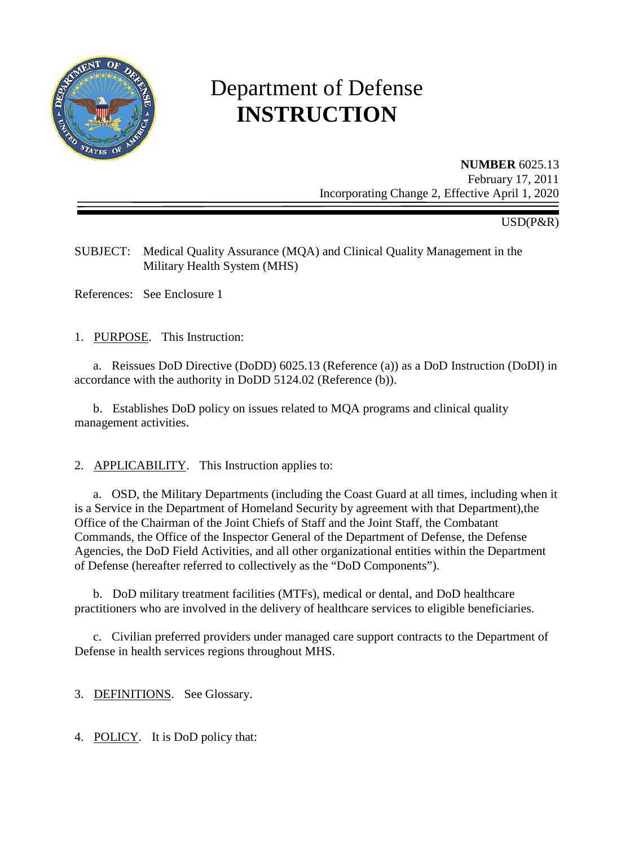

# Department of Defense **INSTRUCTION**

**NUMBER** 6025.13 February 17, 2011 Incorporating Change 2, Effective April 1, 2020

USD(P&R)

SUBJECT: Medical Quality Assurance (MQA) and Clinical Quality Management in the Military Health System (MHS)

References: See Enclosure 1

1. PURPOSE. This Instruction:

a. Reissues DoD Directive (DoDD) 6025.13 (Reference (a)) as a DoD Instruction (DoDI) in accordance with the authority in DoDD 5124.02 (Reference (b)).

 b. Establishes DoD policy on issues related to MQA programs and clinical quality management activities.

2. APPLICABILITY. This Instruction applies to:

a. OSD, the Military Departments (including the Coast Guard at all times, including when it is a Service in the Department of Homeland Security by agreement with that Department),the Office of the Chairman of the Joint Chiefs of Staff and the Joint Staff, the Combatant Commands, the Office of the Inspector General of the Department of Defense, the Defense Agencies, the DoD Field Activities, and all other organizational entities within the Department of Defense (hereafter referred to collectively as the "DoD Components").

b. DoD military treatment facilities (MTFs), medical or dental, and DoD healthcare practitioners who are involved in the delivery of healthcare services to eligible beneficiaries.

 c. Civilian preferred providers under managed care support contracts to the Department of Defense in health services regions throughout MHS.

3. DEFINITIONS. See Glossary.

4. POLICY. It is DoD policy that: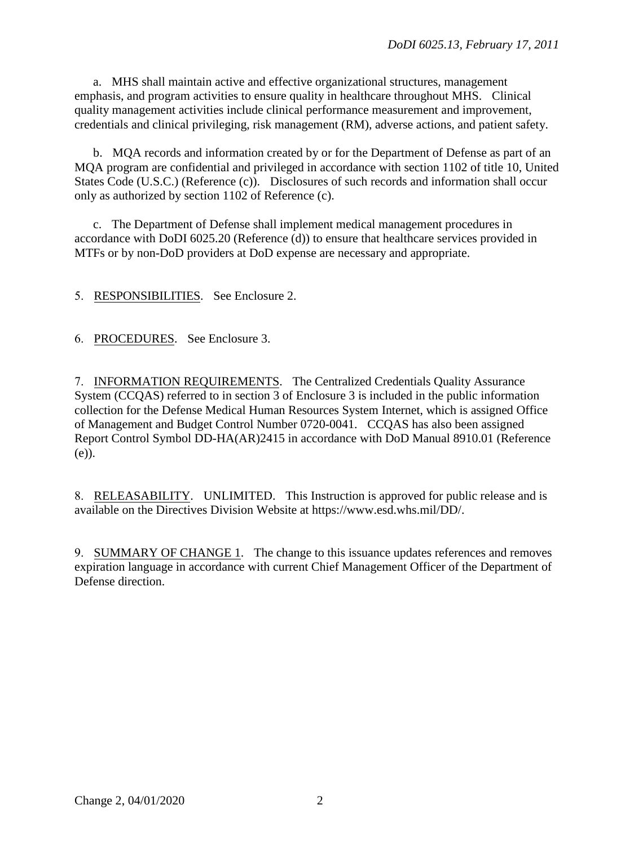a. MHS shall maintain active and effective organizational structures, management emphasis, and program activities to ensure quality in healthcare throughout MHS. Clinical quality management activities include clinical performance measurement and improvement, credentials and clinical privileging, risk management (RM), adverse actions, and patient safety.

b. MQA records and information created by or for the Department of Defense as part of an MQA program are confidential and privileged in accordance with section 1102 of title 10, United States Code (U.S.C.) (Reference (c)). Disclosures of such records and information shall occur only as authorized by section 1102 of Reference (c).

c. The Department of Defense shall implement medical management procedures in accordance with DoDI 6025.20 (Reference (d)) to ensure that healthcare services provided in MTFs or by non-DoD providers at DoD expense are necessary and appropriate.

5. RESPONSIBILITIES. See Enclosure 2.

6. PROCEDURES. See Enclosure 3.

7. INFORMATION REQUIREMENTS. The Centralized Credentials Quality Assurance System (CCQAS) referred to in section 3 of Enclosure 3 is included in the public information collection for the Defense Medical Human Resources System Internet, which is assigned Office of Management and Budget Control Number 0720-0041. CCQAS has also been assigned Report Control Symbol DD-HA(AR)2415 in accordance with DoD Manual 8910.01 (Reference (e)).

8. RELEASABILITY. UNLIMITED. This Instruction is approved for public release and is available on the Directives Division Website at https://www.esd.whs.mil/DD/.

9. SUMMARY OF CHANGE 1. The change to this issuance updates references and removes expiration language in accordance with current Chief Management Officer of the Department of Defense direction.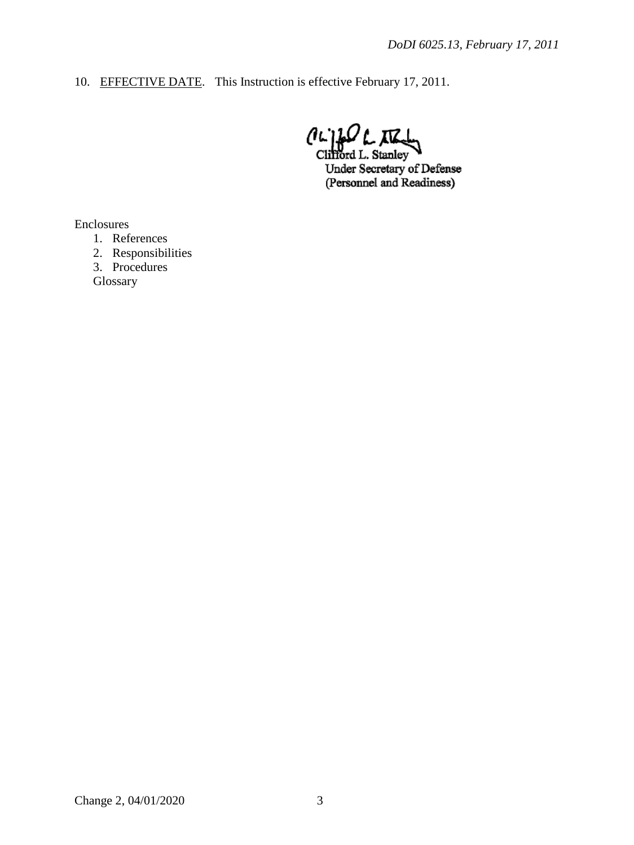10. EFFECTIVE DATE. This Instruction is effective February 17, 2011.

 $\lim_{\text{Clifford L. Stanley}}$ 

Under Secretary of Defense (Personnel and Readiness)

Enclosures

- 1. References
- 2. Responsibilities
- 3. Procedures

**Glossary**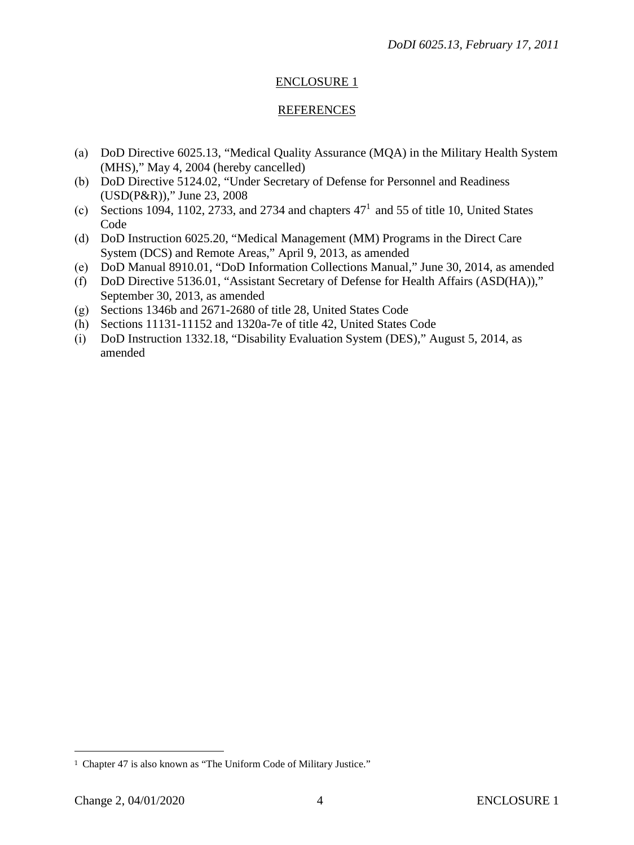## ENCLOSURE 1

#### REFERENCES

- (a) DoD Directive 6025.13, "Medical Quality Assurance (MQA) in the Military Health System (MHS)," May 4, 2004 (hereby cancelled)
- (b) DoD Directive 5124.02, "Under Secretary of Defense for Personnel and Readiness (USD(P&R))," June 23, 2008
- (c) Sections [1](#page-3-0)094, 1102, 2733, and 2734 and chapters  $47<sup>1</sup>$  and 55 of title 10, United States Code
- (d) DoD Instruction 6025.20, "Medical Management (MM) Programs in the Direct Care System (DCS) and Remote Areas," April 9, 2013, as amended
- (e) DoD Manual 8910.01, "DoD Information Collections Manual," June 30, 2014, as amended
- (f) DoD Directive 5136.01, "Assistant Secretary of Defense for Health Affairs (ASD(HA))," September 30, 2013, as amended
- (g) Sections 1346b and 2671-2680 of title 28, United States Code
- (h) Sections 11131-11152 and 1320a-7e of title 42, United States Code
- (i) DoD Instruction 1332.18, "Disability Evaluation System (DES)," August 5, 2014, as amended

<span id="page-3-0"></span><sup>1</sup> Chapter 47 is also known as "The Uniform Code of Military Justice."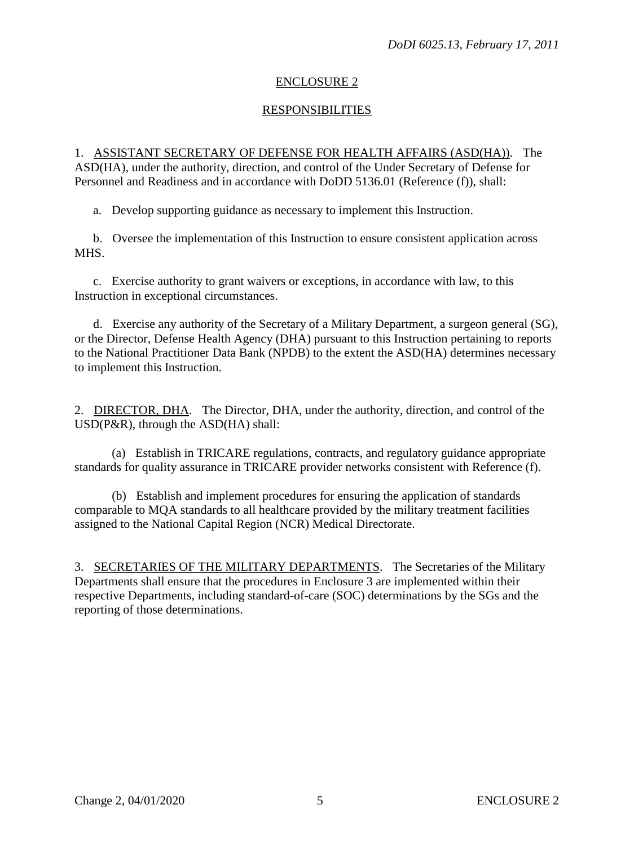## ENCLOSURE 2

## RESPONSIBILITIES

1. ASSISTANT SECRETARY OF DEFENSE FOR HEALTH AFFAIRS (ASD(HA)). The ASD(HA), under the authority, direction, and control of the Under Secretary of Defense for Personnel and Readiness and in accordance with DoDD 5136.01 (Reference (f)), shall:

a. Develop supporting guidance as necessary to implement this Instruction.

 b. Oversee the implementation of this Instruction to ensure consistent application across MHS.

 c. Exercise authority to grant waivers or exceptions, in accordance with law, to this Instruction in exceptional circumstances.

d. Exercise any authority of the Secretary of a Military Department, a surgeon general (SG), or the Director, Defense Health Agency (DHA) pursuant to this Instruction pertaining to reports to the National Practitioner Data Bank (NPDB) to the extent the ASD(HA) determines necessary to implement this Instruction.

2. DIRECTOR, DHA. The Director, DHA, under the authority, direction, and control of the USD(P&R), through the ASD(HA) shall:

(a) Establish in TRICARE regulations, contracts, and regulatory guidance appropriate standards for quality assurance in TRICARE provider networks consistent with Reference (f).

(b) Establish and implement procedures for ensuring the application of standards comparable to MQA standards to all healthcare provided by the military treatment facilities assigned to the National Capital Region (NCR) Medical Directorate.

3. SECRETARIES OF THE MILITARY DEPARTMENTS. The Secretaries of the Military Departments shall ensure that the procedures in Enclosure 3 are implemented within their respective Departments, including standard-of-care (SOC) determinations by the SGs and the reporting of those determinations.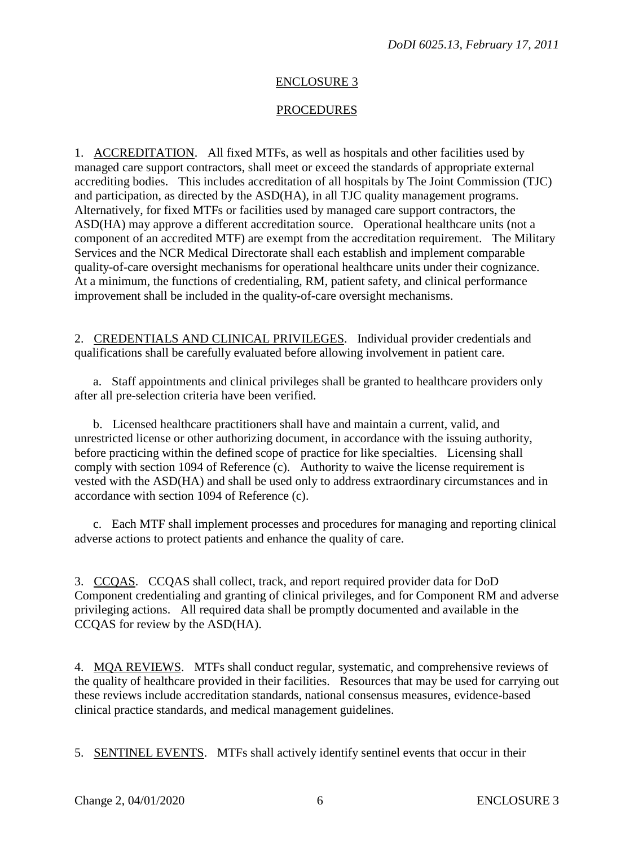## ENCLOSURE 3

#### PROCEDURES

1. ACCREDITATION. All fixed MTFs, as well as hospitals and other facilities used by managed care support contractors, shall meet or exceed the standards of appropriate external accrediting bodies. This includes accreditation of all hospitals by The Joint Commission (TJC) and participation, as directed by the ASD(HA), in all TJC quality management programs. Alternatively, for fixed MTFs or facilities used by managed care support contractors, the ASD(HA) may approve a different accreditation source. Operational healthcare units (not a component of an accredited MTF) are exempt from the accreditation requirement. The Military Services and the NCR Medical Directorate shall each establish and implement comparable quality-of-care oversight mechanisms for operational healthcare units under their cognizance. At a minimum, the functions of credentialing, RM, patient safety, and clinical performance improvement shall be included in the quality-of-care oversight mechanisms.

2. CREDENTIALS AND CLINICAL PRIVILEGES. Individual provider credentials and qualifications shall be carefully evaluated before allowing involvement in patient care.

 a. Staff appointments and clinical privileges shall be granted to healthcare providers only after all pre-selection criteria have been verified.

 b. Licensed healthcare practitioners shall have and maintain a current, valid, and unrestricted license or other authorizing document, in accordance with the issuing authority, before practicing within the defined scope of practice for like specialties. Licensing shall comply with section 1094 of Reference (c). Authority to waive the license requirement is vested with the ASD(HA) and shall be used only to address extraordinary circumstances and in accordance with section 1094 of Reference (c).

c. Each MTF shall implement processes and procedures for managing and reporting clinical adverse actions to protect patients and enhance the quality of care.

3. CCQAS. CCQAS shall collect, track, and report required provider data for DoD Component credentialing and granting of clinical privileges, and for Component RM and adverse privileging actions. All required data shall be promptly documented and available in the CCQAS for review by the ASD(HA).

4. MQA REVIEWS. MTFs shall conduct regular, systematic, and comprehensive reviews of the quality of healthcare provided in their facilities. Resources that may be used for carrying out these reviews include accreditation standards, national consensus measures, evidence-based clinical practice standards, and medical management guidelines.

5. SENTINEL EVENTS. MTFs shall actively identify sentinel events that occur in their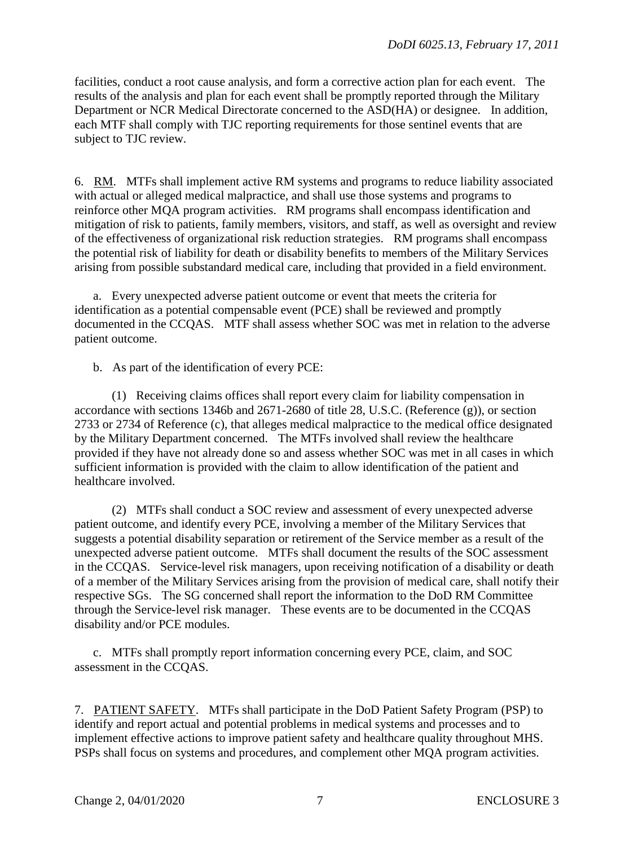facilities, conduct a root cause analysis, and form a corrective action plan for each event. The results of the analysis and plan for each event shall be promptly reported through the Military Department or NCR Medical Directorate concerned to the ASD(HA) or designee. In addition, each MTF shall comply with TJC reporting requirements for those sentinel events that are subject to TJC review.

6. RM. MTFs shall implement active RM systems and programs to reduce liability associated with actual or alleged medical malpractice, and shall use those systems and programs to reinforce other MQA program activities. RM programs shall encompass identification and mitigation of risk to patients, family members, visitors, and staff, as well as oversight and review of the effectiveness of organizational risk reduction strategies. RM programs shall encompass the potential risk of liability for death or disability benefits to members of the Military Services arising from possible substandard medical care, including that provided in a field environment.

a. Every unexpected adverse patient outcome or event that meets the criteria for identification as a potential compensable event (PCE) shall be reviewed and promptly documented in the CCQAS. MTF shall assess whether SOC was met in relation to the adverse patient outcome.

b. As part of the identification of every PCE:

 (1) Receiving claims offices shall report every claim for liability compensation in accordance with sections 1346b and 2671-2680 of title 28, U.S.C. (Reference (g)), or section 2733 or 2734 of Reference (c), that alleges medical malpractice to the medical office designated by the Military Department concerned. The MTFs involved shall review the healthcare provided if they have not already done so and assess whether SOC was met in all cases in which sufficient information is provided with the claim to allow identification of the patient and healthcare involved.

 (2) MTFs shall conduct a SOC review and assessment of every unexpected adverse patient outcome, and identify every PCE, involving a member of the Military Services that suggests a potential disability separation or retirement of the Service member as a result of the unexpected adverse patient outcome. MTFs shall document the results of the SOC assessment in the CCQAS. Service-level risk managers, upon receiving notification of a disability or death of a member of the Military Services arising from the provision of medical care, shall notify their respective SGs. The SG concerned shall report the information to the DoD RM Committee through the Service-level risk manager. These events are to be documented in the CCQAS disability and/or PCE modules.

 c. MTFs shall promptly report information concerning every PCE, claim, and SOC assessment in the CCQAS.

7. PATIENT SAFETY. MTFs shall participate in the DoD Patient Safety Program (PSP) to identify and report actual and potential problems in medical systems and processes and to implement effective actions to improve patient safety and healthcare quality throughout MHS. PSPs shall focus on systems and procedures, and complement other MQA program activities.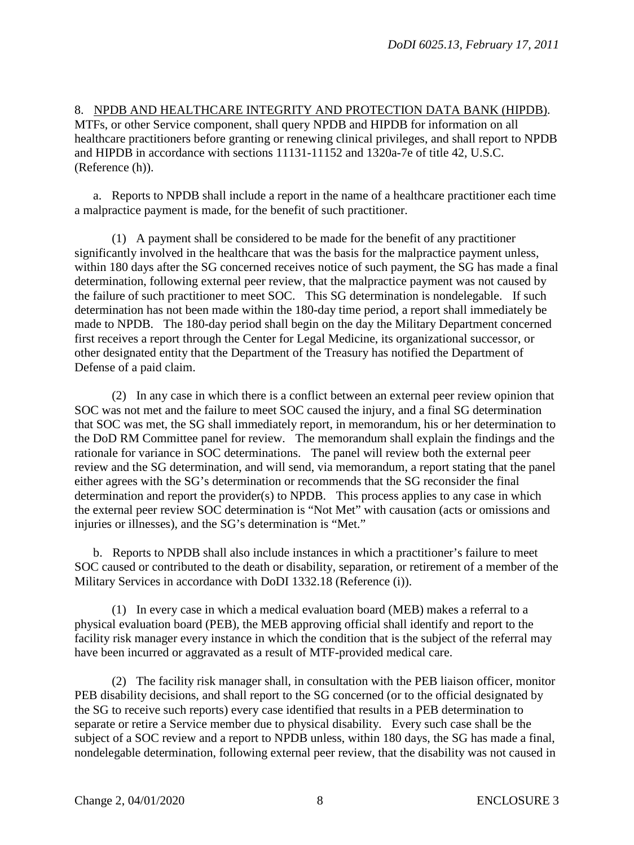8. NPDB AND HEALTHCARE INTEGRITY AND PROTECTION DATA BANK (HIPDB). MTFs, or other Service component, shall query NPDB and HIPDB for information on all healthcare practitioners before granting or renewing clinical privileges, and shall report to NPDB and HIPDB in accordance with sections 11131-11152 and 1320a-7e of title 42, U.S.C. (Reference (h)).

a. Reports to NPDB shall include a report in the name of a healthcare practitioner each time a malpractice payment is made, for the benefit of such practitioner.

 (1) A payment shall be considered to be made for the benefit of any practitioner significantly involved in the healthcare that was the basis for the malpractice payment unless, within 180 days after the SG concerned receives notice of such payment, the SG has made a final determination, following external peer review, that the malpractice payment was not caused by the failure of such practitioner to meet SOC. This SG determination is nondelegable. If such determination has not been made within the 180-day time period, a report shall immediately be made to NPDB. The 180-day period shall begin on the day the Military Department concerned first receives a report through the Center for Legal Medicine, its organizational successor, or other designated entity that the Department of the Treasury has notified the Department of Defense of a paid claim.

 (2) In any case in which there is a conflict between an external peer review opinion that SOC was not met and the failure to meet SOC caused the injury, and a final SG determination that SOC was met, the SG shall immediately report, in memorandum, his or her determination to the DoD RM Committee panel for review. The memorandum shall explain the findings and the rationale for variance in SOC determinations. The panel will review both the external peer review and the SG determination, and will send, via memorandum, a report stating that the panel either agrees with the SG's determination or recommends that the SG reconsider the final determination and report the provider(s) to NPDB. This process applies to any case in which the external peer review SOC determination is "Not Met" with causation (acts or omissions and injuries or illnesses), and the SG's determination is "Met."

 b. Reports to NPDB shall also include instances in which a practitioner's failure to meet SOC caused or contributed to the death or disability, separation, or retirement of a member of the Military Services in accordance with DoDI 1332.18 (Reference (i)).

 (1) In every case in which a medical evaluation board (MEB) makes a referral to a physical evaluation board (PEB), the MEB approving official shall identify and report to the facility risk manager every instance in which the condition that is the subject of the referral may have been incurred or aggravated as a result of MTF-provided medical care.

 (2) The facility risk manager shall, in consultation with the PEB liaison officer, monitor PEB disability decisions, and shall report to the SG concerned (or to the official designated by the SG to receive such reports) every case identified that results in a PEB determination to separate or retire a Service member due to physical disability. Every such case shall be the subject of a SOC review and a report to NPDB unless, within 180 days, the SG has made a final, nondelegable determination, following external peer review, that the disability was not caused in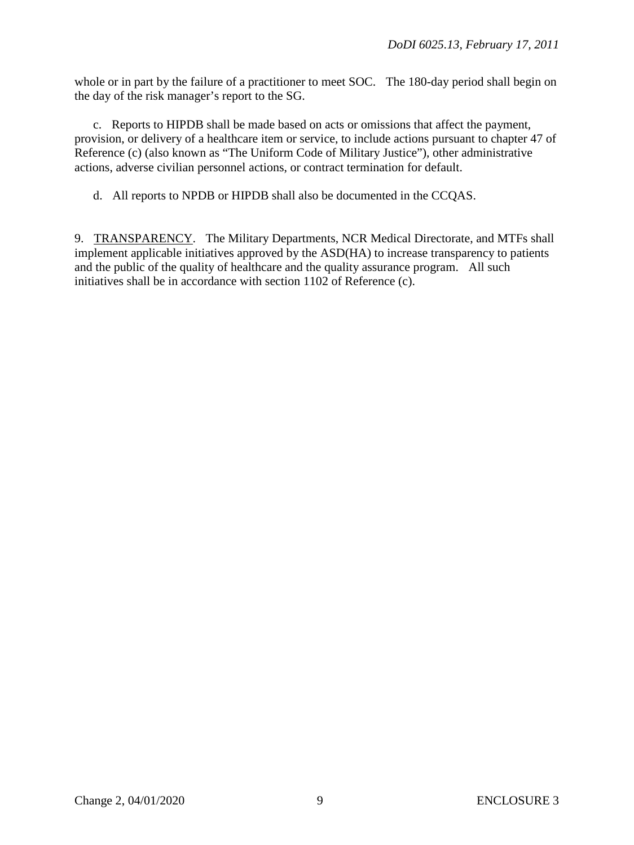whole or in part by the failure of a practitioner to meet SOC. The 180-day period shall begin on the day of the risk manager's report to the SG.

 c. Reports to HIPDB shall be made based on acts or omissions that affect the payment, provision, or delivery of a healthcare item or service, to include actions pursuant to chapter 47 of Reference (c) (also known as "The Uniform Code of Military Justice"), other administrative actions, adverse civilian personnel actions, or contract termination for default.

d. All reports to NPDB or HIPDB shall also be documented in the CCQAS.

9. TRANSPARENCY. The Military Departments, NCR Medical Directorate, and MTFs shall implement applicable initiatives approved by the ASD(HA) to increase transparency to patients and the public of the quality of healthcare and the quality assurance program. All such initiatives shall be in accordance with section 1102 of Reference (c).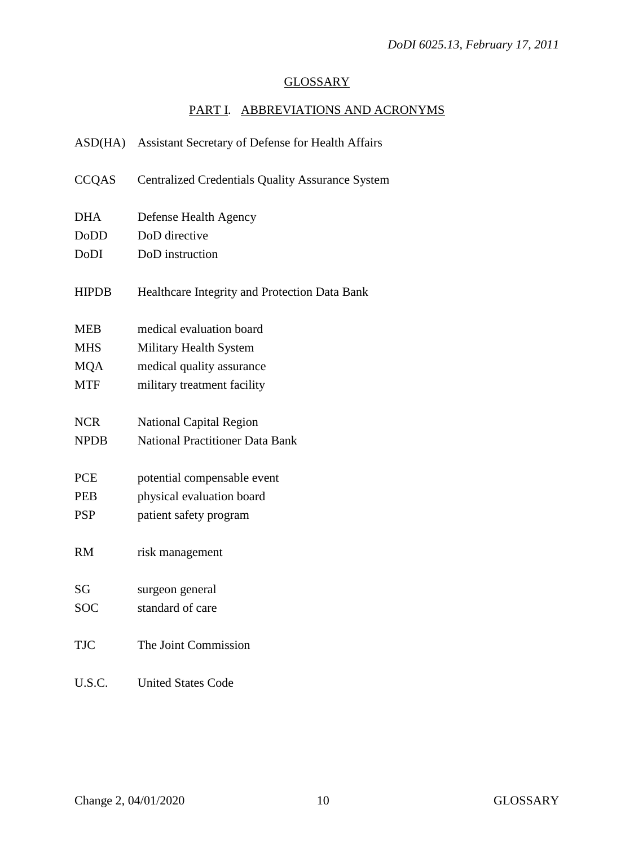#### GLOSSARY

## PART I. ABBREVIATIONS AND ACRONYMS

| ASD(HA)      | Assistant Secretary of Defense for Health Affairs       |
|--------------|---------------------------------------------------------|
| <b>CCQAS</b> | <b>Centralized Credentials Quality Assurance System</b> |
| <b>DHA</b>   | Defense Health Agency                                   |
| DoDD         | DoD directive                                           |
| <b>DoDI</b>  | DoD instruction                                         |
| <b>HIPDB</b> | Healthcare Integrity and Protection Data Bank           |
| <b>MEB</b>   | medical evaluation board                                |
| <b>MHS</b>   | Military Health System                                  |
| <b>MQA</b>   | medical quality assurance                               |
| <b>MTF</b>   | military treatment facility                             |
| <b>NCR</b>   | <b>National Capital Region</b>                          |
| <b>NPDB</b>  | <b>National Practitioner Data Bank</b>                  |
| <b>PCE</b>   | potential compensable event                             |
| <b>PEB</b>   | physical evaluation board                               |
| <b>PSP</b>   | patient safety program                                  |
| <b>RM</b>    | risk management                                         |
| SG           | surgeon general                                         |
| <b>SOC</b>   | standard of care                                        |
| <b>TJC</b>   | The Joint Commission                                    |
| U.S.C.       | <b>United States Code</b>                               |